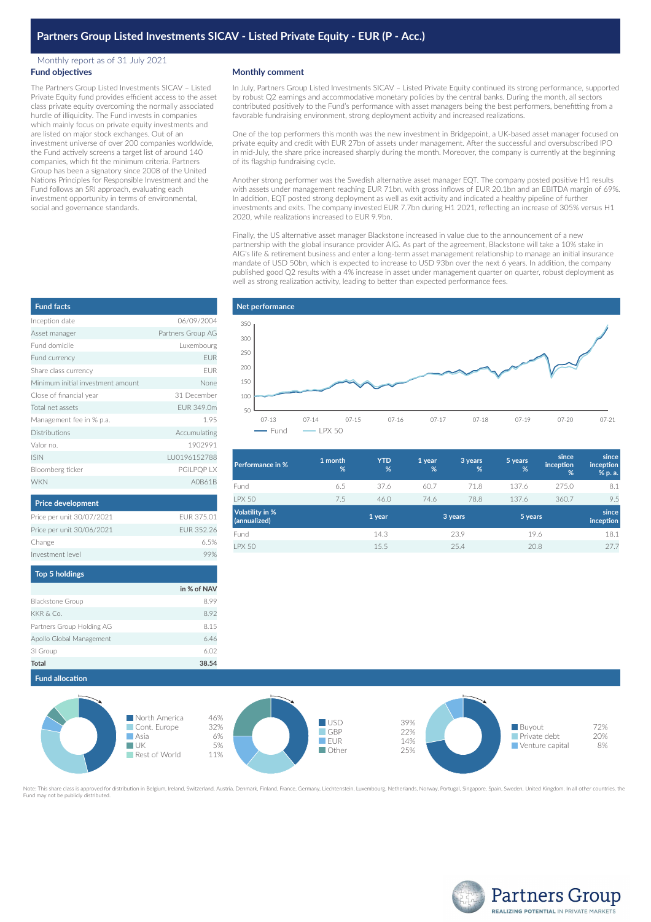# **Partners Group Listed Investments SICAV - Listed Private Equity - EUR (P - Acc.)**

### Monthly report as of 31 July 2021 **Fund objectives**

The Partners Group Listed Investments SICAV – Listed Private Equity fund provides efficient access to the asset class private equity overcoming the normally associated hurdle of illiquidity. The Fund invests in companies which mainly focus on private equity investments and are listed on major stock exchanges. Out of an investment universe of over 200 companies worldwide, the Fund actively screens a target list of around 140 companies, which fit the minimum criteria. Partners Group has been a signatory since 2008 of the United Nations Principles for Responsible Investment and the Fund follows an SRI approach, evaluating each investment opportunity in terms of environmental, social and governance standards.

## **Monthly comment**

In July, Partners Group Listed Investments SICAV – Listed Private Equity continued its strong performance, supported by robust Q2 earnings and accommodative monetary policies by the central banks. During the month, all sectors contributed positively to the Fund's performance with asset managers being the best performers, benefitting from a favorable fundraising environment, strong deployment activity and increased realizations.

One of the top performers this month was the new investment in Bridgepoint, a UK-based asset manager focused on private equity and credit with EUR 27bn of assets under management. After the successful and oversubscribed IPO in mid-July, the share price increased sharply during the month. Moreover, the company is currently at the beginning of its flagship fundraising cycle.

Another strong performer was the Swedish alternative asset manager EQT. The company posted positive H1 results with assets under management reaching EUR 71bn, with gross inflows of EUR 20.1bn and an EBITDA margin of 69%. In addition, EQT posted strong deployment as well as exit activity and indicated a healthy pipeline of further investments and exits. The company invested EUR 7.7bn during H1 2021, reflecting an increase of 305% versus H1 2020, while realizations increased to EUR 9.9bn.

Finally, the US alternative asset manager Blackstone increased in value due to the announcement of a new partnership with the global insurance provider AIG. As part of the agreement, Blackstone will take a 10% stake in AIG's life & retirement business and enter a long-term asset management relationship to manage an initial insurance mandate of USD 50bn, which is expected to increase to USD 93bn over the next 6 years. In addition, the company published good Q2 results with a 4% increase in asset under management quarter on quarter, robust deployment as well as strong realization activity, leading to better than expected performance fees.



| Performance in %                | 1 month<br>% | <b>YTD</b><br>% | 1 year<br>% | 3 years<br>% | 5 years<br>% | since<br>inception<br>% | since<br>inception<br>% p. a. |
|---------------------------------|--------------|-----------------|-------------|--------------|--------------|-------------------------|-------------------------------|
| Fund                            | 6.5          | 37.6            | 60.7        | 71.8         | 137.6        | 275.0                   | 8.1                           |
| <b>I PX 50</b>                  | 7.5          | 46.0            | 74.6        | 78.8         | 137.6        | 360.7                   | 9.5                           |
| Volatility in %<br>(annualized) |              | 1 year          |             | 3 years      | 5 years      |                         | since<br>inception            |
| Fund                            |              | 14.3            |             | 23.9         | 19.6         |                         | 18.1                          |
| <b>LPX 50</b>                   |              | 15.5            |             | 25.4         | 20.8         |                         | 27.7                          |

| <b>Fund facts</b>                 |                   |
|-----------------------------------|-------------------|
| Inception date                    | 06/09/2004        |
| Asset manager                     | Partners Group AG |
| Fund domicile                     | Luxembourg        |
| Fund currency                     | <b>EUR</b>        |
| Share class currency              | <b>FUR</b>        |
| Minimum initial investment amount | None              |
| Close of financial year           | 31 December       |
| Total net assets                  | FUR 349.0m        |
| Management fee in % p.a.          | 1.95              |
| <b>Distributions</b>              | Accumulating      |
| Valor no.                         | 1902991           |
| <b>ISIN</b>                       | LU0196152788      |
| Bloomberg ticker                  | PGILPQP LX        |
| <b>WKN</b>                        | A0B61B            |

| Price per unit 30/07/2021 | FUR 375.01  |
|---------------------------|-------------|
| Price per unit 30/06/2021 | EUR 352.26  |
| Change                    | 6.5%        |
| Investment level          | 99%         |
| <b>Top 5 holdings</b>     |             |
|                           | in % of NAV |
| <b>Blackstone Group</b>   | 8.99        |
| KKR & Co.                 | 8.92        |
| Partners Group Holding AG | 8.15        |

Apollo Global Management 6.46 3I Group 6.02 **Total 38.54**

**Price development**



Note: This share class is approved for distribution in Belgium, Ireland, Switzerland, Austria, Denmark, Finland, France, Germany, Liechtenstein, Luxembourg, Netherlands, Norway, Portugal, Singapore, Spain, Sweden, United K Fund may not be publicly distributed.